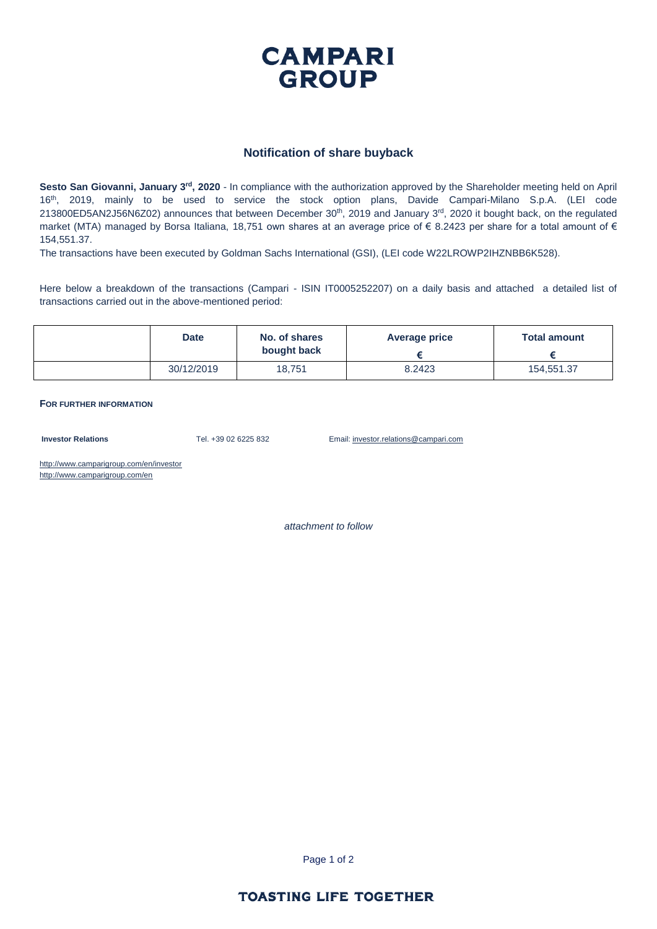

## **Notification of share buyback**

Sesto San Giovanni, January 3<sup>rd</sup>, 2020 - In compliance with the authorization approved by the Shareholder meeting held on April 16th, 2019, mainly to be used to service the stock option plans, Davide Campari-Milano S.p.A. (LEI code  $213800ED5AN2J56N6Z02$ ) announces that between December  $30<sup>th</sup>$ ,  $2019$  and January  $3<sup>rd</sup>$ ,  $2020$  it bought back, on the regulated market (MTA) managed by Borsa Italiana, 18,751 own shares at an average price of  $\epsilon$  8.2423 per share for a total amount of  $\epsilon$ 154,551.37.

The transactions have been executed by Goldman Sachs International (GSI), (LEI code W22LROWP2IHZNBB6K528).

Here below a breakdown of the transactions (Campari - ISIN IT0005252207) on a daily basis and attached a detailed list of transactions carried out in the above-mentioned period:

| <b>Date</b> | No. of shares<br>bought back | <b>Average price</b> | <b>Total amount</b> |
|-------------|------------------------------|----------------------|---------------------|
| 30/12/2019  | 18,751                       | 8.2423               | 154.551.37          |

**FOR FURTHER INFORMATION**

**Investor Relations** Tel. +39 02 6225 832 Email: investor.relations@campari.com

http://www.camparigroup.com/en/investor http://www.camparigroup.com/en

*attachment to follow*

Page 1 of 2

## **TOASTING LIFE TOGETHER**